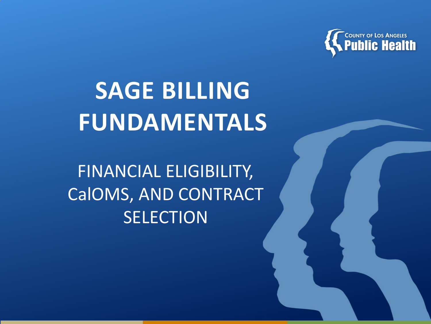

# **SAGE BILLING FUNDAMENTALS**

FINANCIAL ELIGIBILITY, CalOMS, AND CONTRACT **SELECTION**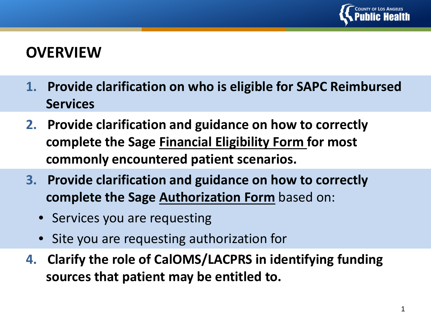

#### **OVERVIEW**

- **1. Provide clarification on who is eligible for SAPC Reimbursed Services**
- **2. Provide clarification and guidance on how to correctly complete the Sage Financial Eligibility Form for most commonly encountered patient scenarios.**
- **3. Provide clarification and guidance on how to correctly complete the Sage Authorization Form** based on:
	- Services you are requesting
	- Site you are requesting authorization for
- **4. Clarify the role of CalOMS/LACPRS in identifying funding sources that patient may be entitled to.**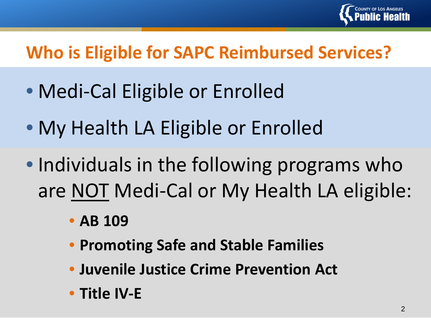

## **Who is Eligible for SAPC Reimbursed Services?**

- Medi-Cal Eligible or Enrolled
- My Health LA Eligible or Enrolled
- Individuals in the following programs who are NOT Medi-Cal or My Health LA eligible:
	- **AB 109**
	- **Promoting Safe and Stable Families**
	- **Juvenile Justice Crime Prevention Act**
	- **Title IV-E**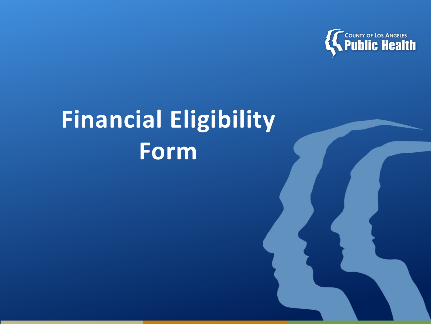

# **Financial Eligibility Form**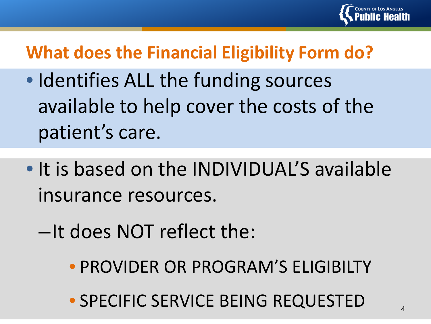

## **What does the Financial Eligibility Form do?**

- Identifies ALL the funding sources available to help cover the costs of the patient's care.
- It is based on the INDIVIDUAL'S available insurance resources.
	- –It does NOT reflect the:
		- PROVIDER OR PROGRAM'S ELIGIBILTY
		- SPECIFIC SERVICE BEING REQUESTED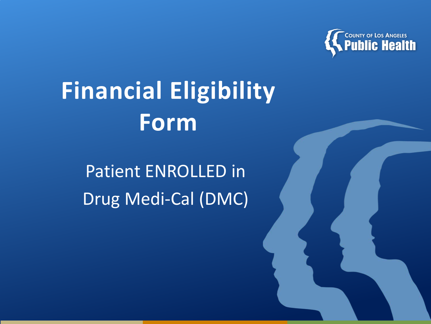

# **Financial Eligibility Form**

Patient ENROLLED in Drug Medi-Cal (DMC)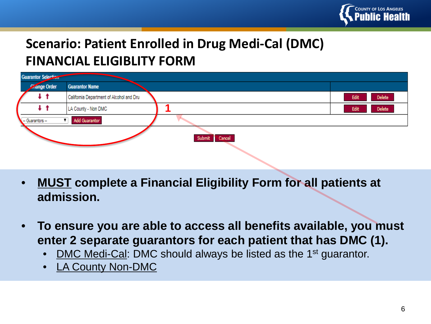

#### **Scenario: Patient Enrolled in Drug Medi-Cal (DMC) FINANCIAL ELIGIBLITY FORM**

| <b>Guarantor Selection</b> |                                          |                  |                |
|----------------------------|------------------------------------------|------------------|----------------|
| <b>Change Order</b>        | <b>Guarantor Name</b>                    |                  |                |
| t t                        | California Department of Alcohol and Dru |                  | Delete<br>Edit |
| t t                        | LA County - Non DMC                      |                  | Delete<br>Edit |
| -- Guarantors --           | <b>Add Guarantor</b>                     |                  |                |
|                            |                                          | Submit<br>Cancel |                |

- **MUST complete a Financial Eligibility Form for all patients at admission.**
- **To ensure you are able to access all benefits available, you must enter 2 separate guarantors for each patient that has DMC (1).** 
	- DMC Medi-Cal: DMC should always be listed as the 1<sup>st</sup> guarantor.
	- LA County Non-DMC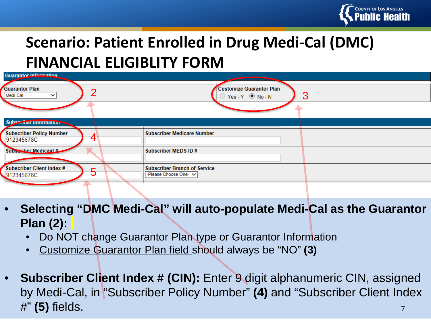

### **Scenario: Patient Enrolled in Drug Medi-Cal (DMC) FINANCIAL ELIGIBLITY FORM**

| Guarantor Information                             |                                                                             |
|---------------------------------------------------|-----------------------------------------------------------------------------|
| <b>Guarantor Plan</b><br>Medi-Cal<br>$\checkmark$ | <b>Customize Guarantor Plan</b><br>З<br>$\supset$ Yes - Y $\bigcirc$ No - N |
|                                                   |                                                                             |
| <b>Subecriber Information</b>                     |                                                                             |
| <b>Subscriber Policy Number</b><br>912345678C     | <b>Subscriber Medicare Number</b>                                           |
| Subscriber Medicaid #                             | Subscriber MEDS ID#                                                         |
| Subscriber Client Index #<br>912345678C           | <b>Subscriber Branch of Service</b><br>-Please Choose One- V                |
|                                                   |                                                                             |

- **Selecting "DMC Medi-Cal" will auto-populate Medi-Cal as the Guarantor Plan (2):**
	- Do NOT change Guarantor Plan type or Guarantor Information
	- Customize Guarantor Plan field should always be "NO" **(3)**
- 7 • **Subscriber Client Index # (CIN):** Enter 9 digit alphanumeric CIN, assigned by Medi-Cal, in "Subscriber Policy Number" **(4)** and "Subscriber Client Index #" **(5)** fields.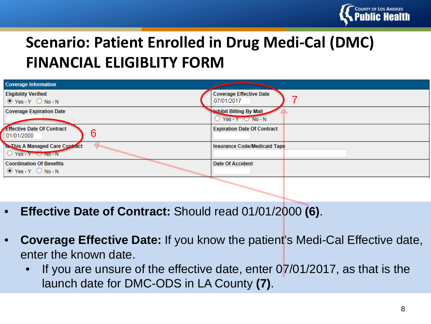

#### **Scenario: Patient Enrolled in Drug Medi-Cal (DMC) FINANCIAL ELIGIBLITY FORM**

| <b>Coverage Information</b>                                              |                                              |
|--------------------------------------------------------------------------|----------------------------------------------|
| <b>Eligibility Verified</b><br>$\circ$ Yes-Y $\circ$ No-N                | <b>Coverage Effective Date</b><br>07/01/2017 |
| <b>Coverage Expiration Date</b>                                          | <b>Nahibit Billing By Mail</b>               |
| <b>Effective Date Of Contract</b><br>6<br> 01/01/2000                    | <b>Expiration Date Of Contract</b>           |
| <b>Is This A Managed Care Contract</b><br>$\circ$ Yes - Y $\circ$ No - N | Insurance Code/Medicaid Tape                 |
| <b>Coordination Of Benefits</b><br>$\bullet$ Yes-Y $\circ$ No-N          | <b>Date Of Accident</b>                      |

- **Effective Date of Contract:** Should read 01/01/2000 **(6)**.
- **Coverage Effective Date:** If you know the patient's Medi-Cal Effective date, enter the known date.
	- If you are unsure of the effective date, enter  $07/01/2017$ , as that is the launch date for DMC-ODS in LA County **(7)**.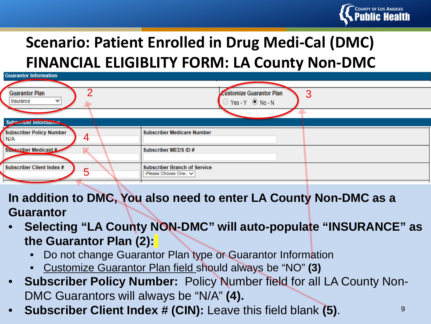

## **Scenario: Patient Enrolled in Drug Medi-Cal (DMC) FINANCIAL ELIGIBLITY FORM: LA County Non-DMC**

| <b>Guarantor Information</b>                |                                                              |  |  |
|---------------------------------------------|--------------------------------------------------------------|--|--|
|                                             |                                                              |  |  |
| n<br><b>Guarantor Plan</b>                  | 3<br><b>Customize Guarantor Plan</b>                         |  |  |
| $\checkmark$<br>Insurance                   | $Yes - Y$ $@$ No - N                                         |  |  |
|                                             |                                                              |  |  |
| Subscriber Information                      |                                                              |  |  |
| <b>Subscriber Policy Number</b><br>4<br>N/A | <b>Subscriber Medicare Number</b>                            |  |  |
| Subscriber Medicaid #                       | Subscriber MEDS ID#                                          |  |  |
| <b>Subscriber Client Index #</b><br>5       | <b>Subscriber Branch of Service</b><br>-Please Choose One- V |  |  |

**In addition to DMC, You also need to enter LA County Non-DMC as a Guarantor** 

- **Selecting "LA County NON-DMC" will auto-populate "INSURANCE" as the Guarantor Plan (2):**
	- Do not change Guarantor Plan type or Guarantor Information
	- Customize Guarantor Plan field should always be "NO" **(3)**
- **Subscriber Policy Number:** Policy Number field for all LA County Non-DMC Guarantors will always be "N/A" **(4).**
- **Subscriber Client Index # (CIN):** Leave this field blank **(5)**.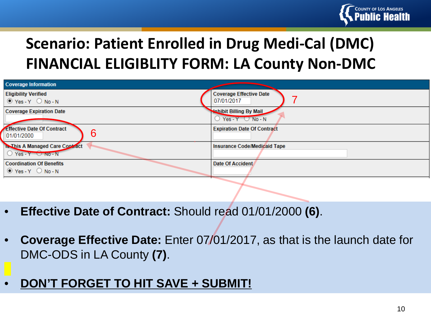

#### **Scenario: Patient Enrolled in Drug Medi-Cal (DMC) FINANCIAL ELIGIBLITY FORM: LA County Non-DMC**

| <b>Coverage Information</b>                                      |                                                        |
|------------------------------------------------------------------|--------------------------------------------------------|
| <b>Eligibility Verified</b><br>$\bullet$ Yes-Y $\circ$ No-N      | <b>Coverage Effective Date</b><br>07/01/2017           |
| <b>Coverage Expiration Date</b>                                  | <b>Whibit Billing By Mail</b><br>Yes - $Y \cup No - N$ |
| Effective Date Of Contract<br>6<br>01/01/2000                    | <b>Expiration Date Of Contract</b>                     |
| <b>Is This A Managed Care Contract</b><br>$O$ Yes - Y $O$ NO - N | Insurance Code/Medicaid Tape                           |
| <b>Coordination Of Benefits</b><br>$\bullet$ Yes-Y $\circ$ No-N  | Date Of Accident                                       |

- **Effective Date of Contract:** Should read 01/01/2000 **(6)**.
- **Coverage Effective Date:** Enter 07/01/2017, as that is the launch date for DMC-ODS in LA County **(7)**.
- **DON'T FORGET TO HIT SAVE + SUBMIT!**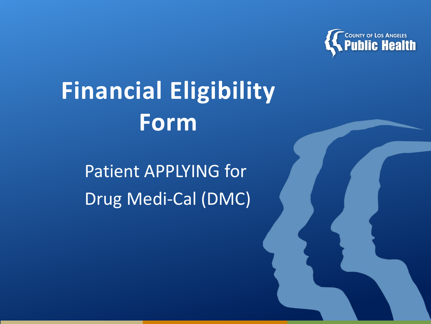

# **Financial Eligibility Form**

Patient APPLYING for Drug Medi-Cal (DMC)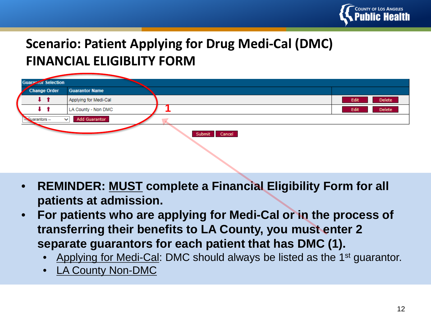

#### **Scenario: Patient Applying for Drug Medi-Cal (DMC) FINANCIAL ELIGIBLITY FORM**

| <b>Guarazior Selection</b> |                                      |                  |                |
|----------------------------|--------------------------------------|------------------|----------------|
| <b>Change Order</b>        | <b>Guarantor Name</b>                |                  |                |
|                            | Applying for Medi-Cal                |                  | Delete<br>Edit |
|                            | LA County - Non DMC                  |                  | Delete<br>Edit |
| - Suarantors -             | <b>Add Guarantor</b><br>$\checkmark$ |                  |                |
|                            |                                      | Cancel<br>Submit |                |

- **REMINDER: MUST complete a Financial Eligibility Form for all patients at admission.**
- **For patients who are applying for Medi-Cal or in the process of transferring their benefits to LA County, you must enter 2 separate guarantors for each patient that has DMC (1).** 
	- Applying for Medi-Cal: DMC should always be listed as the 1<sup>st</sup> guarantor.
	- LA County Non-DMC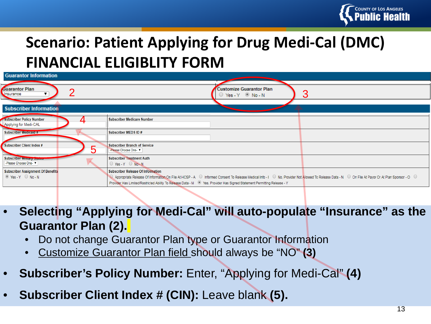

### **Scenario: Patient Applying for Drug Medi-Cal (DMC) FINANCIAL ELIGIBLITY FORM**

| <b>Customize Guarantor Plan</b><br>OYes-Y ®No-N                                                                                                                                                                                                                                                                                                                                      |
|--------------------------------------------------------------------------------------------------------------------------------------------------------------------------------------------------------------------------------------------------------------------------------------------------------------------------------------------------------------------------------------|
|                                                                                                                                                                                                                                                                                                                                                                                      |
| Subscriber Medicare Number                                                                                                                                                                                                                                                                                                                                                           |
| Subscriber MEDS ID#                                                                                                                                                                                                                                                                                                                                                                  |
| Subscriber Branch of Service<br>-Please Choose One-                                                                                                                                                                                                                                                                                                                                  |
| <b>Subscriber Treatment Auth</b><br>$\circ$ Yes-Y $\circ$ No-N                                                                                                                                                                                                                                                                                                                       |
| <b>Subscriber Release Of Information</b><br>© Appropriate Release Of Information On File At HCSP - A © Informed Consent To Release Medical Info - I © No, Provider Not Allowed To Release Data - N © On File At Payor Or At Plan Sponsor - O ©<br>Provider Has Limited/Restricted Ability To Release Data - M <sup>O</sup> Yes, Provider Has Signed Statement Permitting Release - Y |
|                                                                                                                                                                                                                                                                                                                                                                                      |

- **Selecting "Applying for Medi-Cal" will auto-populate "Insurance" as the Guarantor Plan (2).**
	- Do not change Guarantor Plan type or Guarantor Information
	- Customize Guarantor Plan field should always be "NO" **(3)**
- **Subscriber's Policy Number:** Enter, "Applying for Medi-Cal" **(4)**
- **Subscriber Client Index # (CIN):** Leave blank **(5).**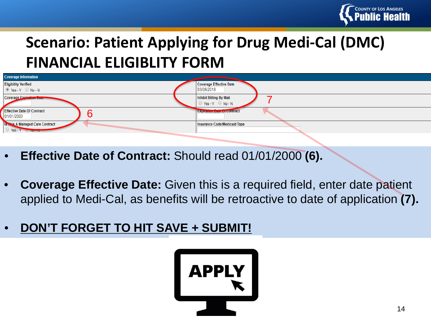

### **Scenario: Patient Applying for Drug Medi-Cal (DMC) FINANCIAL ELIGIBLITY FORM**



- **Effective Date of Contract:** Should read 01/01/2000 **(6).**
- **Coverage Effective Date:** Given this is a required field, enter date patient applied to Medi-Cal, as benefits will be retroactive to date of application **(7).**
- **DON'T FORGET TO HIT SAVE + SUBMIT!**

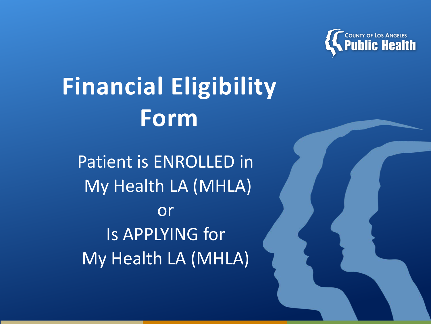

# **Financial Eligibility Form**

Patient is ENROLLED in My Health LA (MHLA) or Is APPLYING for My Health LA (MHLA)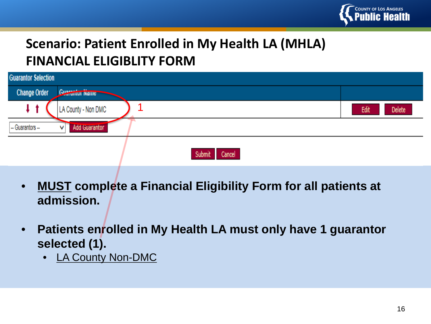

#### **Scenario: Patient Enrolled in My Health LA (MHLA) FINANCIAL ELIGIBLITY FORM**

| <b>Guarantor Selection</b> |                                 |                |  |
|----------------------------|---------------------------------|----------------|--|
| <b>Change Order</b>        | <b>Guarantor Name</b>           |                |  |
|                            | LA County - Non DMC             | Delete<br>Edit |  |
| - Guarantors --            | <b>Add Guarantor</b><br>$\cdot$ |                |  |
|                            | Cancel<br>Submit                |                |  |

- **MUST complete a Financial Eligibility Form for all patients at admission.**
- **Patients enrolled in My Health LA must only have 1 guarantor selected (1).** 
	- LA County Non-DMC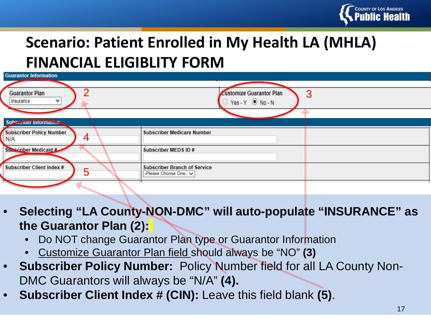

### **Scenario: Patient Enrolled in My Health LA (MHLA) FINANCIAL ELIGIBLITY FORM**

| <b>Guarantor Information</b>          |                                      |  |  |
|---------------------------------------|--------------------------------------|--|--|
|                                       |                                      |  |  |
| ◠<br><b>Guarantor Plan</b>            | 3<br><b>Customize Guarantor Plan</b> |  |  |
| v<br>Insurance                        | Yes-Y ◉ No-N                         |  |  |
|                                       |                                      |  |  |
| Subscriber information:               |                                      |  |  |
| <b>Subscriber Policy Number</b><br>4  | <b>Subscriber Medicare Number</b>    |  |  |
| N/A                                   |                                      |  |  |
| Subscriber Medicaid #                 | Subscriber MEDS ID#                  |  |  |
|                                       |                                      |  |  |
| <b>Subscriber Client Index #</b><br>5 | <b>Subscriber Branch of Service</b>  |  |  |
|                                       | -Please Choose One- V                |  |  |
|                                       |                                      |  |  |

- **Selecting "LA County-NON-DMC" will auto-populate "INSURANCE" as the Guarantor Plan (2):**
	- Do NOT change Guarantor Plan type or Guarantor Information
	- Customize Guarantor Plan field should always be "NO" **(3)**
- **Subscriber Policy Number:** Policy Number field for all LA County Non-DMC Guarantors will always be "N/A" **(4).**
- **Subscriber Client Index # (CIN):** Leave this field blank **(5)**.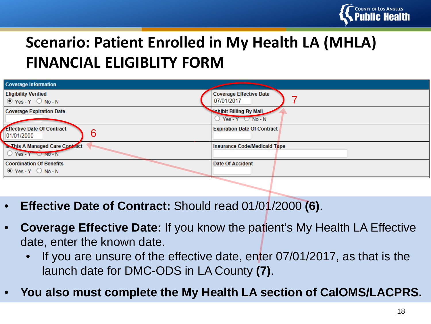

#### **Scenario: Patient Enrolled in My Health LA (MHLA) FINANCIAL ELIGIBLITY FORM**

| <b>Coverage Information</b>                                              |                                                         |
|--------------------------------------------------------------------------|---------------------------------------------------------|
| <b>Eligibility Verified</b><br>$\circ$ Yes-Y $\circ$ No-N                | <b>Coverage Effective Date</b><br>07/01/2017            |
| <b>Coverage Expiration Date</b>                                          | <b>Nohibit Billing By Mail</b><br>Yes - $Y \cup No - N$ |
| Effective Date Of Contract<br>6<br> 01/01/2000                           | <b>Expiration Date Of Contract</b>                      |
| <b>Is This A Managed Care Contract</b><br>$\circ$ Yes - Y $\circ$ No - N | Insurance Code/Medicaid Tape                            |
| <b>Coordination Of Benefits</b><br>$\bullet$ Yes-Y $\circ$ No-N          | Date Of Accident                                        |

- **Effective Date of Contract:** Should read 01/01/2000 **(6)**.
- **Coverage Effective Date:** If you know the patient's My Health LA Effective date, enter the known date.
	- If you are unsure of the effective date, enter 07/01/2017, as that is the launch date for DMC-ODS in LA County **(7)**.
- **You also must complete the My Health LA section of CalOMS/LACPRS.**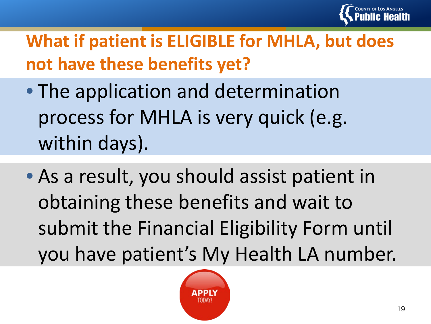

# **What if patient is ELIGIBLE for MHLA, but does not have these benefits yet?**

- The application and determination process for MHLA is very quick (e.g. within days).
- As a result, you should assist patient in obtaining these benefits and wait to submit the Financial Eligibility Form until you have patient's My Health LA number.

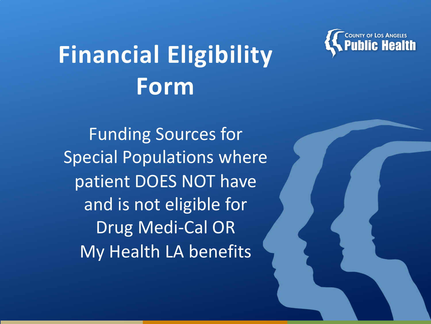

# **Financial Eligibility Form**

Funding Sources for Special Populations where patient DOES NOT have and is not eligible for Drug Medi-Cal OR My Health LA benefits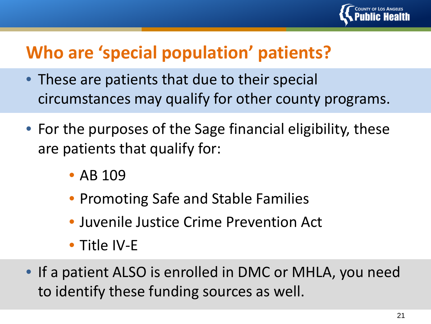

## **Who are 'special population' patients?**

- These are patients that due to their special circumstances may qualify for other county programs.
- For the purposes of the Sage financial eligibility, these are patients that qualify for:
	- AB 109
	- Promoting Safe and Stable Families
	- Juvenile Justice Crime Prevention Act
	- Title IV-E
- If a patient ALSO is enrolled in DMC or MHLA, you need to identify these funding sources as well.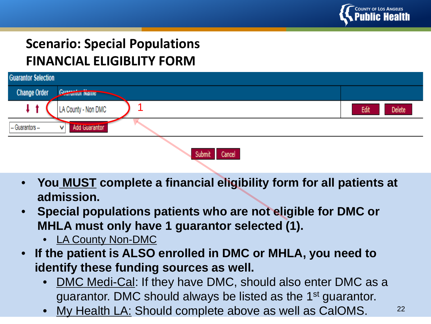

#### **Scenario: Special Populations FINANCIAL ELIGIBLITY FORM**

| <b>Guarantor Selection</b>              |                       |                |  |
|-----------------------------------------|-----------------------|----------------|--|
| <b>Change Order</b>                     | <b>Guarantor Name</b> |                |  |
|                                         | LA County - Non DMC   | Delete<br>Edit |  |
| <b>Add Guarantor</b><br>- Guarantors -- |                       |                |  |
| Cancel<br>Submit                        |                       |                |  |

- **You MUST complete a financial eligibility form for all patients at admission.**
- **Special populations patients who are not eligible for DMC or MHLA must only have 1 guarantor selected (1).** 
	- LA County Non-DMC
- **If the patient is ALSO enrolled in DMC or MHLA, you need to identify these funding sources as well.**
	- DMC Medi-Cal: If they have DMC, should also enter DMC as a guarantor. DMC should always be listed as the 1<sup>st</sup> guarantor.
	- My Health LA: Should complete above as well as CalOMS.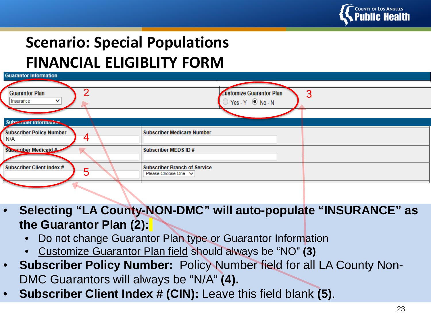

## **Scenario: Special Populations FINANCIAL ELIGIBLITY FORM**

| <b>Guarantor Information</b>     |                                      |  |  |
|----------------------------------|--------------------------------------|--|--|
|                                  |                                      |  |  |
| ◠<br><b>Guarantor Plan</b>       | 3<br><b>Customize Guarantor Plan</b> |  |  |
| Insurance<br>◡                   | $\rightarrow$ Yes - Y $\odot$ No - N |  |  |
|                                  |                                      |  |  |
| Subscriber Information           |                                      |  |  |
| <b>Subscriber Policy Number</b>  | <b>Subscriber Medicare Number</b>    |  |  |
| $\overline{\mathbf{4}}$<br>N/A   |                                      |  |  |
| Subscriber Medicaid #            | Subscriber MEDS ID#                  |  |  |
|                                  |                                      |  |  |
| <b>Subscriber Client Index #</b> | <b>Subscriber Branch of Service</b>  |  |  |
| 5                                | -Please Choose One- V                |  |  |
|                                  |                                      |  |  |

- **Selecting "LA County-NON-DMC" will auto-populate "INSURANCE" as the Guarantor Plan (2):**
	- Do not change Guarantor Plan type or Guarantor Information
	- Customize Guarantor Plan field should always be "NO" **(3)**
- **Subscriber Policy Number:** Policy Number field for all LA County Non-DMC Guarantors will always be "N/A" **(4).**
- **Subscriber Client Index # (CIN):** Leave this field blank **(5)**.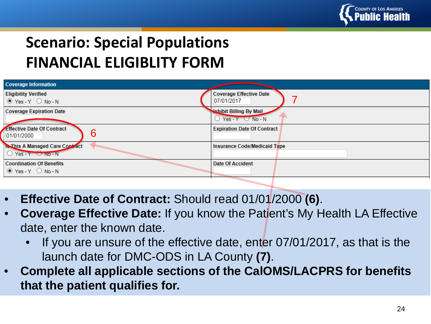

### **Scenario: Special Populations FINANCIAL ELIGIBLITY FORM**

| <b>Coverage Information</b>                                                    |                                                           |
|--------------------------------------------------------------------------------|-----------------------------------------------------------|
| <b>Eligibility Verified</b><br>$\circ$ Yes-Y $\circ$ No-N                      | <b>Coverage Effective Date</b><br>07/01/2017              |
| <b>Coverage Expiration Date</b>                                                | <b>Nobibit Billing By Mail</b><br>Yes - $Y$ $\cup$ No - N |
| Effective Date Of Contract<br>6<br>01/01/2000                                  | <b>Expiration Date Of Contract</b>                        |
| <b>Is This A Managed Care Contract</b><br>$\bigcirc$ Yes - Y $\bigcirc$ NO - N | Insurance Code/Medicaid Tape                              |
| <b>Coordination Of Benefits</b><br>$\circ$ Yes-Y $\circ$ No-N                  | Date Of Accident                                          |

- **Effective Date of Contract:** Should read 01/01/2000 **(6)**.
- **Coverage Effective Date:** If you know the Patient's My Health LA Effective date, enter the known date.
	- If you are unsure of the effective date, enter 07/01/2017, as that is the launch date for DMC-ODS in LA County **(7)**.
- **Complete all applicable sections of the CalOMS/LACPRS for benefits that the patient qualifies for.**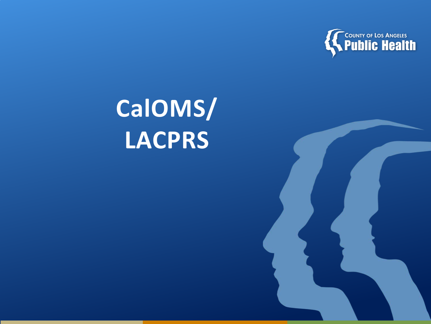

# **CalOMS/ LACPRS**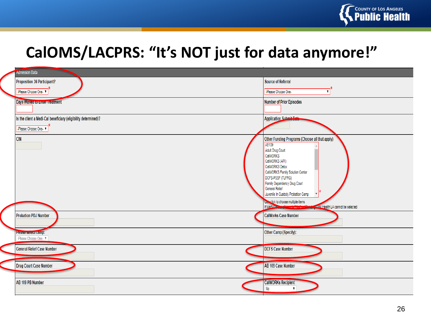

#### **CalOMS/LACPRS: "It's NOT just for data anymore!"**

| <b>Admission Data</b>                                                                 |                                                                                                                                                                                                                                                                                                                                                                                                   |  |
|---------------------------------------------------------------------------------------|---------------------------------------------------------------------------------------------------------------------------------------------------------------------------------------------------------------------------------------------------------------------------------------------------------------------------------------------------------------------------------------------------|--|
| Proposition 36 Participant?                                                           | Source of Referral                                                                                                                                                                                                                                                                                                                                                                                |  |
| -Please Choose One-                                                                   | -Please Choose One-<br>$\mathbf{v}$                                                                                                                                                                                                                                                                                                                                                               |  |
| Days Walted to Enter Treatment                                                        | Number of Prior Episodes                                                                                                                                                                                                                                                                                                                                                                          |  |
| Is the client a Medi-Cal beneficiary (eligibility determined)?<br>-Please Choose One- | <b>Application Submit Date</b>                                                                                                                                                                                                                                                                                                                                                                    |  |
| <b>CIN</b>                                                                            | Other Funding Programs (Choose all that apply)<br>AB109<br>Adult Drug Court<br>CalWORKS<br>CalWORKS (API)<br>CalWORKS Detox<br>CalWORKS Family Solution Center<br>DCFS-PSSF (TLFRG)<br>Family Dependency Drug Court<br>General Relief<br>Juvenile In Custody Probation Camp<br><b>Culturalick to choose multiple items</b><br>If Media Contract in the Literature<br>Health LA cannot be selected |  |
| Probation PDJ Number                                                                  | <b>CalWorks Case Number</b>                                                                                                                                                                                                                                                                                                                                                                       |  |
| Please select camp:<br>-Please Choose One- V                                          | Other Camp (Specify):                                                                                                                                                                                                                                                                                                                                                                             |  |
| <b>General Relief Case Number</b>                                                     | <b>DCFS Case Number</b>                                                                                                                                                                                                                                                                                                                                                                           |  |
| Drug Court Case Number                                                                | AB 109 Case Number                                                                                                                                                                                                                                                                                                                                                                                |  |
| AB 109 PB Number                                                                      | <b>CalWORKs Recipient</b><br>No                                                                                                                                                                                                                                                                                                                                                                   |  |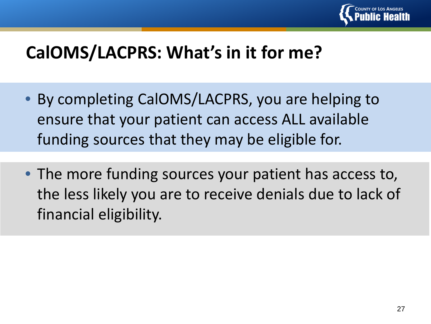

## **CalOMS/LACPRS: What's in it for me?**

- By completing CalOMS/LACPRS, you are helping to ensure that your patient can access ALL available funding sources that they may be eligible for.
- The more funding sources your patient has access to, the less likely you are to receive denials due to lack of financial eligibility.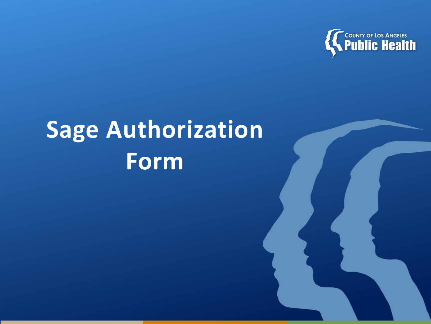

# **Sage Authorization Form**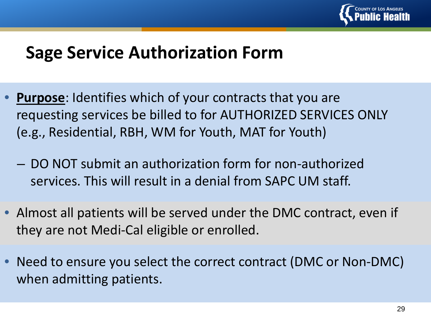

#### **Sage Service Authorization Form**

- **Purpose**: Identifies which of your contracts that you are requesting services be billed to for AUTHORIZED SERVICES ONLY (e.g., Residential, RBH, WM for Youth, MAT for Youth)
	- DO NOT submit an authorization form for non-authorized services. This will result in a denial from SAPC UM staff.
- Almost all patients will be served under the DMC contract, even if they are not Medi-Cal eligible or enrolled.
- Need to ensure you select the correct contract (DMC or Non-DMC) when admitting patients.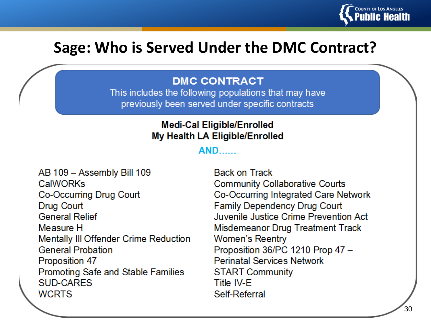

#### **Sage: Who is Served Under the DMC Contract?**

#### **DMC CONTRACT**

This includes the following populations that may have previously been served under specific contracts

#### **Medi-Cal Eligible/Enrolled** My Health LA Eligible/Enrolled

#### **AND**

AB 109 - Assembly Bill 109 CalWORKs Co-Occurring Drug Court **Drug Court General Relief** Measure H **Mentally III Offender Crime Reduction General Probation Proposition 47** Promoting Safe and Stable Families **SUD-CARES WCRTS** 

**Back on Track Community Collaborative Courts** Co-Occurring Integrated Care Network **Family Dependency Drug Court** Juvenile Justice Crime Prevention Act Misdemeanor Drug Treatment Track **Women's Reentry** Proposition 36/PC 1210 Prop 47 -**Perinatal Services Network START Community** Title IV-F Self-Referral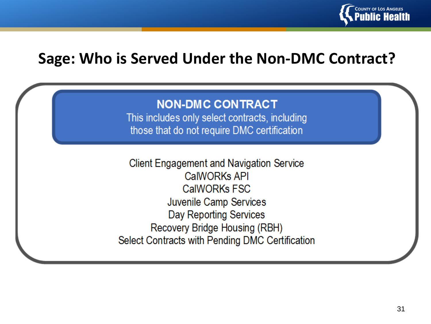

#### **Sage: Who is Served Under the Non-DMC Contract?**

#### **NON-DMC CONTRACT**

This includes only select contracts, including those that do not require DMC certification

**Client Engagement and Navigation Service** CalWORKs API **CalWORKs FSC** Juvenile Camp Services Day Reporting Services Recovery Bridge Housing (RBH) Select Contracts with Pending DMC Certification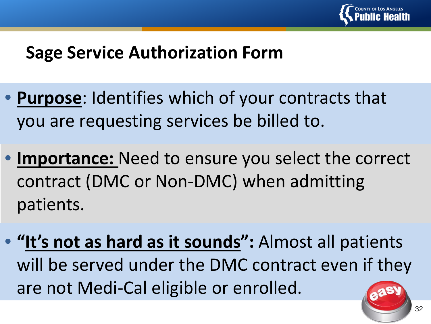

#### **Sage Service Authorization Form**

- **Purpose**: Identifies which of your contracts that you are requesting services be billed to.
- **Importance:** Need to ensure you select the correct contract (DMC or Non-DMC) when admitting patients.
- **"It's not as hard as it sounds":** Almost all patients will be served under the DMC contract even if they are not Medi-Cal eligible or enrolled.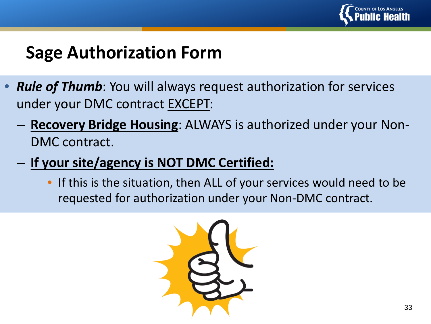

#### **Sage Authorization Form**

- *Rule of Thumb*: You will always request authorization for services under your DMC contract EXCEPT:
	- **Recovery Bridge Housing**: ALWAYS is authorized under your Non-DMC contract.
	- **If your site/agency is NOT DMC Certified:**
		- If this is the situation, then ALL of your services would need to be requested for authorization under your Non-DMC contract.

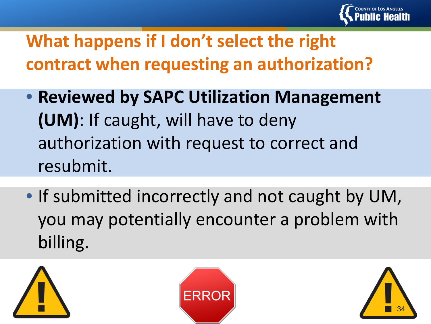

# **What happens if I don't select the right contract when requesting an authorization?**

- **Reviewed by SAPC Utilization Management (UM)**: If caught, will have to deny authorization with request to correct and resubmit.
- If submitted incorrectly and not caught by UM, you may potentially encounter a problem with billing.





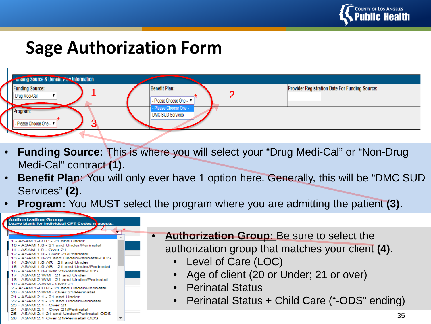

## **Sage Authorization Form**



- **Funding Source:** This is where you will select your "Drug Medi-Cal" or "Non-Drug Medi-Cal" contract **(1)**.
- **Benefit Plan:** You will only ever have 1 option here. Generally, this will be "DMC SUD Services" **(2)**.
- **Program:** You MUST select the program where you are admitting the patient **(3)**.

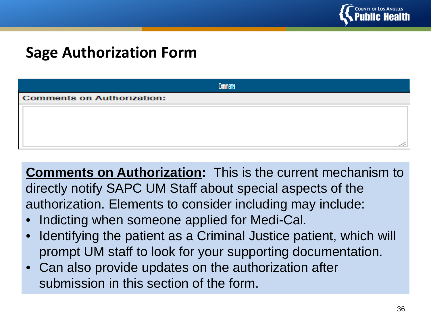

#### **Sage Authorization Form**

|                                   | Comments |  |  |
|-----------------------------------|----------|--|--|
| <b>Comments on Authorization:</b> |          |  |  |
|                                   |          |  |  |
|                                   |          |  |  |
|                                   |          |  |  |
|                                   |          |  |  |

**Comments on Authorization:** This is the current mechanism to directly notify SAPC UM Staff about special aspects of the authorization. Elements to consider including may include:

- Indicting when someone applied for Medi-Cal.
- Identifying the patient as a Criminal Justice patient, which will prompt UM staff to look for your supporting documentation.
- Can also provide updates on the authorization after submission in this section of the form.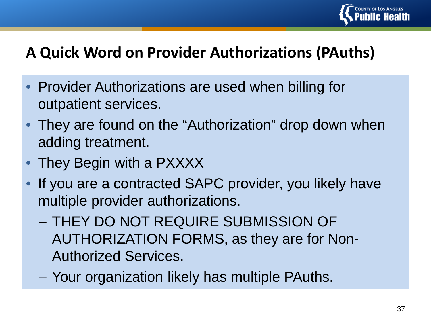

#### **A Quick Word on Provider Authorizations (PAuths)**

- Provider Authorizations are used when billing for outpatient services.
- They are found on the "Authorization" drop down when adding treatment.
- They Begin with a PXXXX
- If you are a contracted SAPC provider, you likely have multiple provider authorizations.
	- THEY DO NOT REQUIRE SUBMISSION OF AUTHORIZATION FORMS, as they are for Non-Authorized Services.
	- Your organization likely has multiple PAuths.